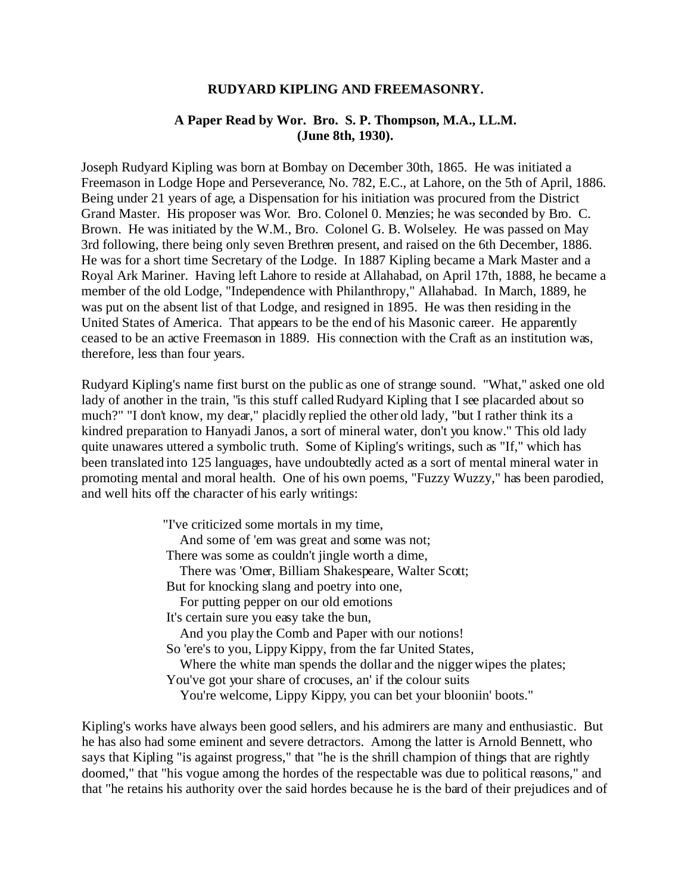## **RUDYARD KIPLING AND FREEMASONRY.**

### **A Paper Read by Wor. Bro. S. P. Thompson, M.A., LL.M. (June 8th, 1930).**

Joseph Rudyard Kipling was born at Bombay on December 30th, 1865. He was initiated a Freemason in Lodge Hope and Perseverance, No. 782, E.C., at Lahore, on the 5th of April, 1886. Being under 21 years of age, a Dispensation for his initiation was procured from the District Grand Master. His proposer was Wor. Bro. Colonel 0. Menzies; he was seconded by Bro. C. Brown. He was initiated by the W.M., Bro. Colonel G. B. Wolseley. He was passed on May 3rd following, there being only seven Brethren present, and raised on the 6th December, 1886. He was for a short time Secretary of the Lodge. In 1887 Kipling became a Mark Master and a Royal Ark Mariner. Having left Lahore to reside at Allahabad, on April 17th, 1888, he became a member of the old Lodge, "Independence with Philanthropy," Allahabad. In March, 1889, he was put on the absent list of that Lodge, and resigned in 1895. He was then residing in the United States of America. That appears to be the end of his Masonic career. He apparently ceased to be an active Freemason in 1889. His connection with the Craft as an institution was, therefore, less than four years.

Rudyard Kipling's name first burst on the public as one of strange sound. "What," asked one old lady of another in the train, "is this stuff called Rudyard Kipling that I see placarded about so much?" "I don't know, my dear," placidly replied the other old lady, "but I rather think its a kindred preparation to Hanyadi Janos, a sort of mineral water, don't you know." This old lady quite unawares uttered a symbolic truth. Some of Kipling's writings, such as "If," which has been translated into 125 languages, have undoubtedly acted as a sort of mental mineral water in promoting mental and moral health. One of his own poems, "Fuzzy Wuzzy," has been parodied, and well hits off the character of his early writings:

> "I've criticized some mortals in my time, And some of 'em was great and some was not; There was some as couldn't jingle worth a dime, There was 'Omer, Billiam Shakespeare, Walter Scott; But for knocking slang and poetry into one, For putting pepper on our old emotions It's certain sure you easy take the bun, And you play the Comb and Paper with our notions! So 'ere's to you, Lippy Kippy, from the far United States, Where the white man spends the dollar and the nigger wipes the plates; You've got your share of crocuses, an' if the colour suits You're welcome, Lippy Kippy, you can bet your blooniin' boots."

Kipling's works have always been good sellers, and his admirers are many and enthusiastic. But he has also had some eminent and severe detractors. Among the latter is Arnold Bennett, who says that Kipling "is against progress," that "he is the shrill champion of things that are rightly doomed," that "his vogue among the hordes of the respectable was due to political reasons," and that "he retains his authority over the said hordes because he is the bard of their prejudices and of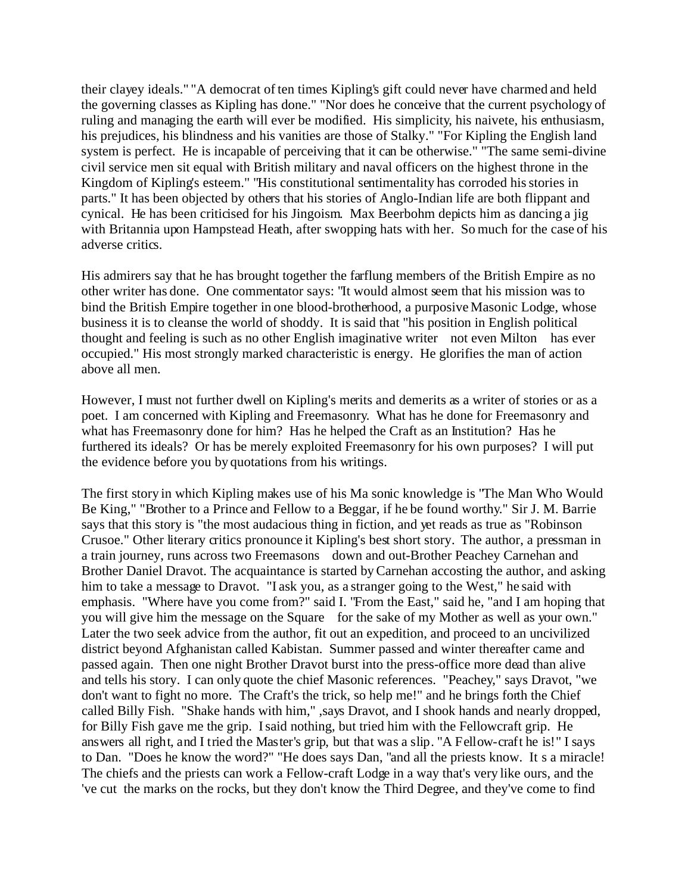their clayey ideals." "A democrat of ten times Kipling's gift could never have charmed and held the governing classes as Kipling has done." "Nor does he conceive that the current psychology of ruling and managing the earth will ever be modified. His simplicity, his naivete, his enthusiasm, his prejudices, his blindness and his vanities are those of Stalky." "For Kipling the English land system is perfect. He is incapable of perceiving that it can be otherwise." "The same semi-divine civil service men sit equal with British military and naval officers on the highest throne in the Kingdom of Kipling's esteem." "His constitutional sentimentality has corroded his stories in parts." It has been objected by others that his stories of Anglo-Indian life are both flippant and cynical. He has been criticised for his Jingoism. Max Beerbohm depicts him as dancing a jig with Britannia upon Hampstead Heath, after swopping hats with her. So much for the case of his adverse critics.

His admirers say that he has brought together the farflung members of the British Empire as no other writer has done. One commentator says: "It would almost seem that his mission was to bind the British Empire together in one blood-brotherhood, a purposive Masonic Lodge, whose business it is to cleanse the world of shoddy. It is said that "his position in English political thought and feeling is such as no other English imaginative writer not even Milton has ever occupied." His most strongly marked characteristic is energy. He glorifies the man of action above all men.

However, I must not further dwell on Kipling's merits and demerits as a writer of stories or as a poet. I am concerned with Kipling and Freemasonry. What has he done for Freemasonry and what has Freemasonry done for him? Has he helped the Craft as an Institution? Has he furthered its ideals? Or has be merely exploited Freemasonry for his own purposes? I will put the evidence before you by quotations from his writings.

The first story in which Kipling makes use of his Ma sonic knowledge is "The Man Who Would Be King," "Brother to a Prince and Fellow to a Beggar, if he be found worthy." Sir J. M. Barrie says that this story is "the most audacious thing in fiction, and yet reads as true as "Robinson Crusoe." Other literary critics pronounce it Kipling's best short story. The author, a pressman in a train journey, runs across two Freemasons down and out-Brother Peachey Carnehan and Brother Daniel Dravot. The acquaintance is started by Carnehan accosting the author, and asking him to take a message to Dravot. "I ask you, as a stranger going to the West," he said with emphasis. "Where have you come from?" said I. "From the East," said he, "and I am hoping that you will give him the message on the Square for the sake of my Mother as well as your own." Later the two seek advice from the author, fit out an expedition, and proceed to an uncivilized district beyond Afghanistan called Kabistan. Summer passed and winter thereafter came and passed again. Then one night Brother Dravot burst into the press-office more dead than alive and tells his story. I can only quote the chief Masonic references. "Peachey," says Dravot, "we don't want to fight no more. The Craft's the trick, so help me!" and he brings forth the Chief called Billy Fish. "Shake hands with him," ,says Dravot, and I shook hands and nearly dropped, for Billy Fish gave me the grip. I said nothing, but tried him with the Fellowcraft grip. He answers all right, and I tried the Master's grip, but that was a slip. "A Fellow-craft he is!" I says to Dan. "Does he know the word?" "He does says Dan, "and all the priests know. It s a miracle! The chiefs and the priests can work a Fellow-craft Lodge in a way that's very like ours, and the 've cut the marks on the rocks, but they don't know the Third Degree, and they've come to find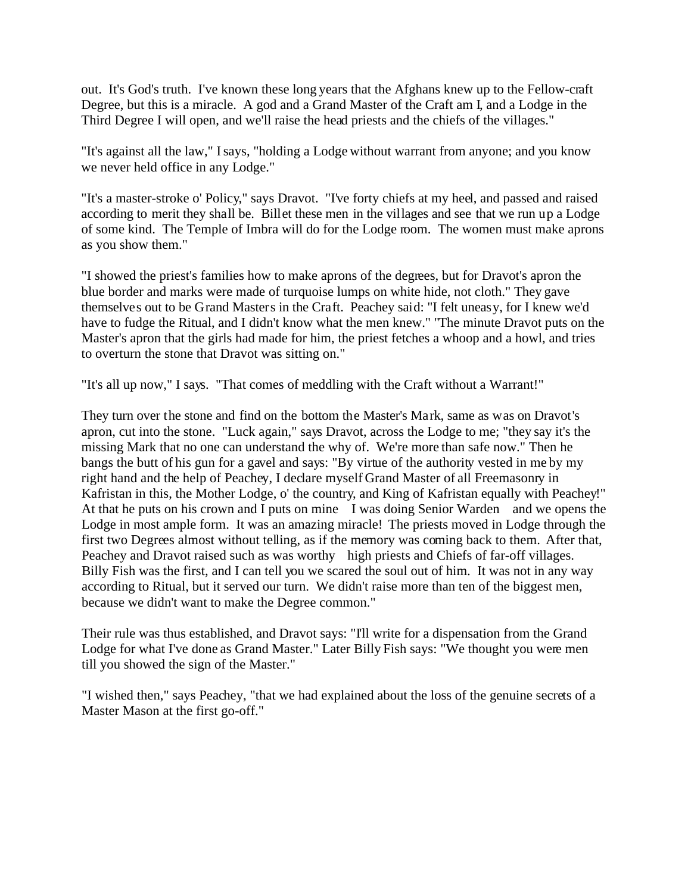out. It's God's truth. I've known these long years that the Afghans knew up to the Fellow-craft Degree, but this is a miracle. A god and a Grand Master of the Craft am I, and a Lodge in the Third Degree I will open, and we'll raise the head priests and the chiefs of the villages."

"It's against all the law," I says, "holding a Lodge without warrant from anyone; and you know we never held office in any Lodge."

"It's a master-stroke o' Policy," says Dravot. "I've forty chiefs at my heel, and passed and raised according to merit they shall be. Billet these men in the villages and see that we run up a Lodge of some kind. The Temple of Imbra will do for the Lodge room. The women must make aprons as you show them."

"I showed the priest's families how to make aprons of the degrees, but for Dravot's apron the blue border and marks were made of turquoise lumps on white hide, not cloth." They gave themselves out to be Grand Masters in the Craft. Peachey said: "I felt uneasy, for I knew we'd have to fudge the Ritual, and I didn't know what the men knew." "The minute Dravot puts on the Master's apron that the girls had made for him, the priest fetches a whoop and a howl, and tries to overturn the stone that Dravot was sitting on."

"It's all up now," I says. "That comes of meddling with the Craft without a Warrant!"

They turn over the stone and find on the bottom the Master's Mark, same as was on Dravot's apron, cut into the stone. "Luck again," says Dravot, across the Lodge to me; "they say it's the missing Mark that no one can understand the why of. We're more than safe now." Then he bangs the butt of his gun for a gavel and says: "By virtue of the authority vested in me by my right hand and the help of Peachey, I declare myself Grand Master of all Freemasonry in Kafristan in this, the Mother Lodge, o' the country, and King of Kafristan equally with Peachey!" At that he puts on his crown and I puts on mine I was doing Senior Warden and we opens the Lodge in most ample form. It was an amazing miracle! The priests moved in Lodge through the first two Degrees almost without telling, as if the memory was coming back to them. After that, Peachey and Dravot raised such as was worthy high priests and Chiefs of far-off villages. Billy Fish was the first, and I can tell you we scared the soul out of him. It was not in any way according to Ritual, but it served our turn. We didn't raise more than ten of the biggest men, because we didn't want to make the Degree common."

Their rule was thus established, and Dravot says: "I'll write for a dispensation from the Grand Lodge for what I've done as Grand Master." Later Billy Fish says: "We thought you were men till you showed the sign of the Master."

"I wished then," says Peachey, "that we had explained about the loss of the genuine secrets of a Master Mason at the first go-off."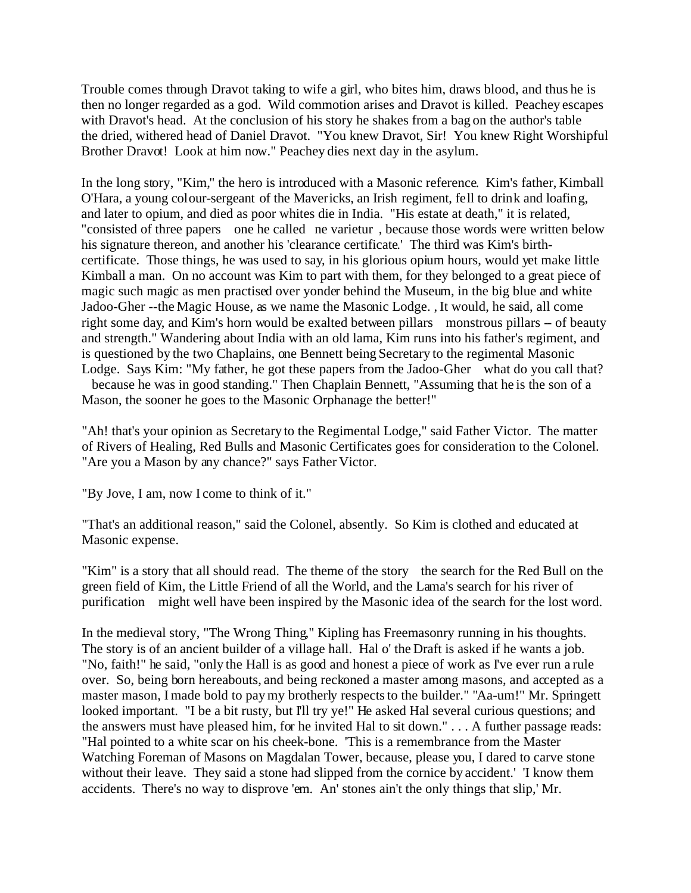Trouble comes through Dravot taking to wife a girl, who bites him, draws blood, and thus he is then no longer regarded as a god. Wild commotion arises and Dravot is killed. Peachey escapes with Dravot's head. At the conclusion of his story he shakes from a bag on the author's table the dried, withered head of Daniel Dravot. "You knew Dravot, Sir! You knew Right Worshipful Brother Dravot! Look at him now." Peachey dies next day in the asylum.

In the long story, "Kim," the hero is introduced with a Masonic reference. Kim's father, Kimball O'Hara, a young colour-sergeant of the Mavericks, an Irish regiment, fell to drink and loafing, and later to opium, and died as poor whites die in India. "His estate at death," it is related, "consisted of three papers one he called ne varietur , because those words were written below his signature thereon, and another his 'clearance certificate.' The third was Kim's birthcertificate. Those things, he was used to say, in his glorious opium hours, would yet make little Kimball a man. On no account was Kim to part with them, for they belonged to a great piece of magic such magic as men practised over yonder behind the Museum, in the big blue and white Jadoo-Gher --the Magic House, as we name the Masonic Lodge. , It would, he said, all come right some day, and Kim's horn would be exalted between pillars monstrous pillars – of beauty and strength." Wandering about India with an old lama, Kim runs into his father's regiment, and is questioned by the two Chaplains, one Bennett being Secretary to the regimental Masonic Lodge. Says Kim: "My father, he got these papers from the Jadoo-Gher what do you call that? because he was in good standing." Then Chaplain Bennett, "Assuming that he is the son of a

Mason, the sooner he goes to the Masonic Orphanage the better!"

"Ah! that's your opinion as Secretary to the Regimental Lodge," said Father Victor. The matter of Rivers of Healing, Red Bulls and Masonic Certificates goes for consideration to the Colonel. "Are you a Mason by any chance?" says Father Victor.

"By Jove, I am, now I come to think of it."

"That's an additional reason," said the Colonel, absently. So Kim is clothed and educated at Masonic expense.

"Kim" is a story that all should read. The theme of the story the search for the Red Bull on the green field of Kim, the Little Friend of all the World, and the Lama's search for his river of purification might well have been inspired by the Masonic idea of the search for the lost word.

In the medieval story, "The Wrong Thing," Kipling has Freemasonry running in his thoughts. The story is of an ancient builder of a village hall. Hal o' the Draft is asked if he wants a job. "No, faith!" he said, "only the Hall is as good and honest a piece of work as I've ever run a rule over. So, being born hereabouts, and being reckoned a master among masons, and accepted as a master mason, I made bold to pay my brotherly respects to the builder." "Aa-um!" Mr. Springett looked important. "I be a bit rusty, but I'll try ye!" He asked Hal several curious questions; and the answers must have pleased him, for he invited Hal to sit down." . . . A further passage reads: "Hal pointed to a white scar on his cheek-bone. 'This is a remembrance from the Master Watching Foreman of Masons on Magdalan Tower, because, please you, I dared to carve stone without their leave. They said a stone had slipped from the cornice by accident.' 'I know them accidents. There's no way to disprove 'em. An' stones ain't the only things that slip,' Mr.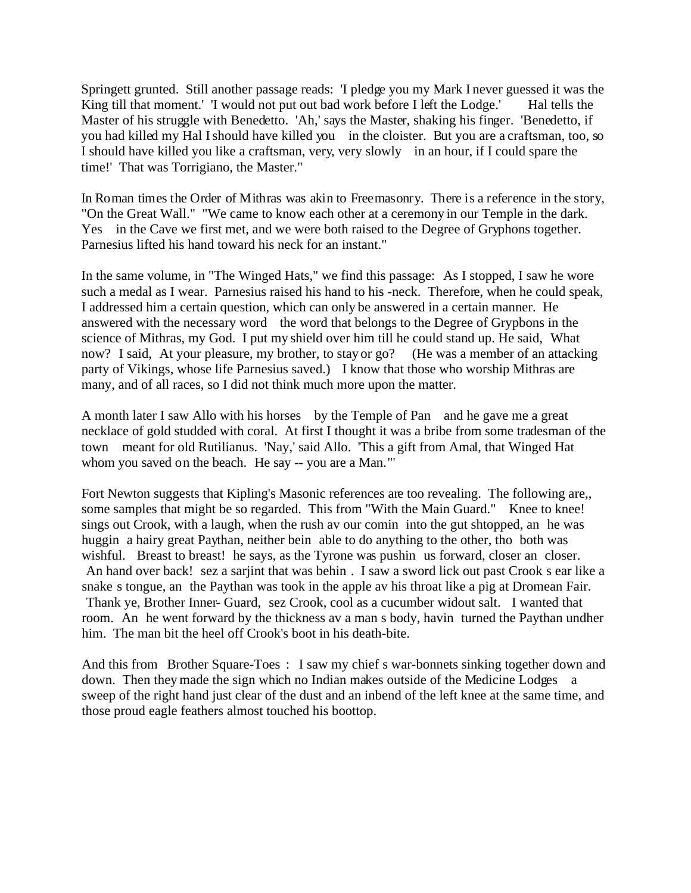Springett grunted. Still another passage reads: 'I pledge you my Mark I never guessed it was the King till that moment.' 'I would not put out bad work before I left the Lodge.' Hal tells the Master of his struggle with Benedetto. 'Ah,' says the Master, shaking his finger. 'Benedetto, if you had killed my Hal I should have killed you in the cloister. But you are a craftsman, too, so I should have killed you like a craftsman, very, very slowly in an hour, if I could spare the time!' That was Torrigiano, the Master."

In Roman times the Order of Mithras was akin to Freemasonry. There is a reference in the story, "On the Great Wall." "We came to know each other at a ceremony in our Temple in the dark. Yes in the Cave we first met, and we were both raised to the Degree of Gryphons together. Parnesius lifted his hand toward his neck for an instant."

In the same volume, in "The Winged Hats," we find this passage: As I stopped, I saw he wore such a medal as I wear. Parnesius raised his hand to his -neck. Therefore, when he could speak, I addressed him a certain question, which can only be answered in a certain manner. He answered with the necessary word the word that belongs to the Degree of Grypbons in the science of Mithras, my God. I put my shield over him till he could stand up. He said, What now? I said, At your pleasure, my brother, to stay or go? (He was a member of an attacking party of Vikings, whose life Parnesius saved.) I know that those who worship Mithras are many, and of all races, so I did not think much more upon the matter.

A month later I saw Allo with his horses by the Temple of Pan and he gave me a great necklace of gold studded with coral. At first I thought it was a bribe from some tradesman of the town meant for old Rutilianus. 'Nay,' said Allo. 'This a gift from Amal, that Winged Hat whom you saved on the beach. He say -- you are a Man."'

Fort Newton suggests that Kipling's Masonic references are too revealing. The following are,, some samples that might be so regarded. This from "With the Main Guard." Knee to knee! sings out Crook, with a laugh, when the rush av our comin into the gut shtopped, an he was huggin a hairy great Paythan, neither bein able to do anything to the other, tho both was wishful. Breast to breast! he says, as the Tyrone was pushin us forward, closer an closer. An hand over back! sez a sarjint that was behin . I saw a sword lick out past Crook s ear like a snake s tongue, an the Paythan was took in the apple av his throat like a pig at Dromean Fair. Thank ye, Brother Inner- Guard, sez Crook, cool as a cucumber widout salt. I wanted that room. An he went forward by the thickness av a man s body, havin turned the Paythan undher him. The man bit the heel off Crook's boot in his death-bite.

And this from Brother Square-Toes : I saw my chief s war-bonnets sinking together down and down. Then they made the sign which no Indian makes outside of the Medicine Lodges a sweep of the right hand just clear of the dust and an inbend of the left knee at the same time, and those proud eagle feathers almost touched his boottop.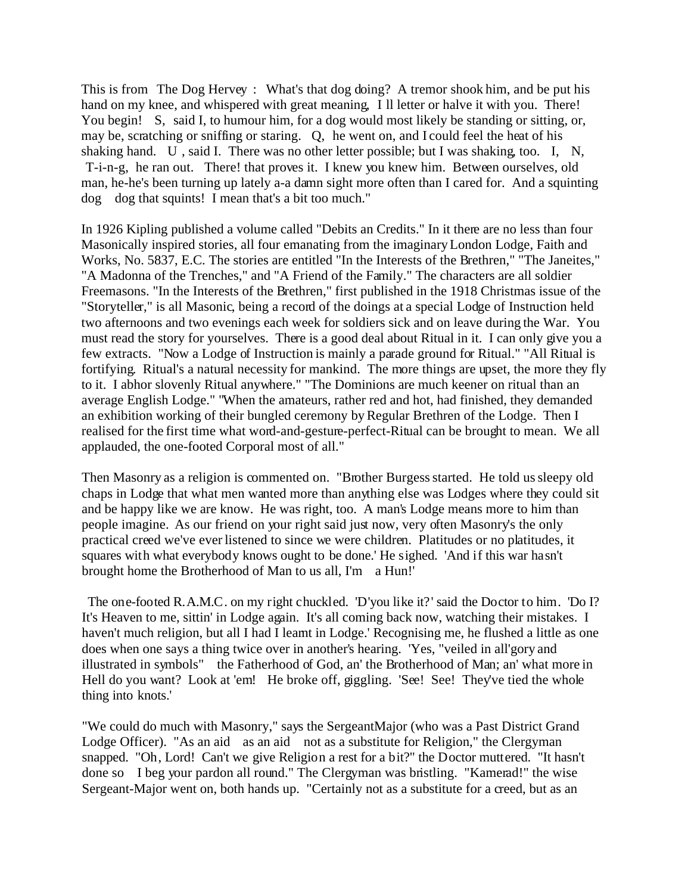This is from The Dog Hervey : What's that dog doing? A tremor shook him, and be put his hand on my knee, and whispered with great meaning, I ll letter or halve it with you. There! You begin! S, said I, to humour him, for a dog would most likely be standing or sitting, or, may be, scratching or sniffing or staring. Q, he went on, and I could feel the heat of his shaking hand. U , said I. There was no other letter possible; but I was shaking, too. I, N, T-i-n-g, he ran out. There! that proves it. I knew you knew him. Between ourselves, old man, he-he's been turning up lately a-a damn sight more often than I cared for. And a squinting dog dog that squints! I mean that's a bit too much."

In 1926 Kipling published a volume called "Debits an Credits." In it there are no less than four Masonically inspired stories, all four emanating from the imaginary London Lodge, Faith and Works, No. 5837, E.C. The stories are entitled "In the Interests of the Brethren," "The Janeites," "A Madonna of the Trenches," and "A Friend of the Family." The characters are all soldier Freemasons. "In the Interests of the Brethren," first published in the 1918 Christmas issue of the "Storyteller," is all Masonic, being a record of the doings at a special Lodge of Instruction held two afternoons and two evenings each week for soldiers sick and on leave during the War. You must read the story for yourselves. There is a good deal about Ritual in it. I can only give you a few extracts. "Now a Lodge of Instruction is mainly a parade ground for Ritual." "All Ritual is fortifying. Ritual's a natural necessity for mankind. The more things are upset, the more they fly to it. I abhor slovenly Ritual anywhere." "The Dominions are much keener on ritual than an average English Lodge." "When the amateurs, rather red and hot, had finished, they demanded an exhibition working of their bungled ceremony by Regular Brethren of the Lodge. Then I realised for the first time what word-and-gesture-perfect-Ritual can be brought to mean. We all applauded, the one-footed Corporal most of all."

Then Masonry as a religion is commented on. "Brother Burgess started. He told us sleepy old chaps in Lodge that what men wanted more than anything else was Lodges where they could sit and be happy like we are know. He was right, too. A man's Lodge means more to him than people imagine. As our friend on your right said just now, very often Masonry's the only practical creed we've ever listened to since we were children. Platitudes or no platitudes, it squares with what everybody knows ought to be done.' He sighed. 'And if this war hasn't brought home the Brotherhood of Man to us all, I'm a Hun!'

 The one-footed R.A.M.C. on my right chuckled. 'D'you like it?' said the Doctor to him. 'Do I? It's Heaven to me, sittin' in Lodge again. It's all coming back now, watching their mistakes. I haven't much religion, but all I had I learnt in Lodge.' Recognising me, he flushed a little as one does when one says a thing twice over in another's hearing. 'Yes, "veiled in all'gory and illustrated in symbols" the Fatherhood of God, an' the Brotherhood of Man; an' what more in Hell do you want? Look at 'em! He broke off, giggling. 'See! See! They've tied the whole thing into knots.'

"We could do much with Masonry," says the SergeantMajor (who was a Past District Grand Lodge Officer). "As an aid as an aid not as a substitute for Religion," the Clergyman snapped. "Oh, Lord! Can't we give Religion a rest for a bit?" the Doctor muttered. "It hasn't done so I beg your pardon all round." The Clergyman was bristling. "Kamerad!" the wise Sergeant-Major went on, both hands up. "Certainly not as a substitute for a creed, but as an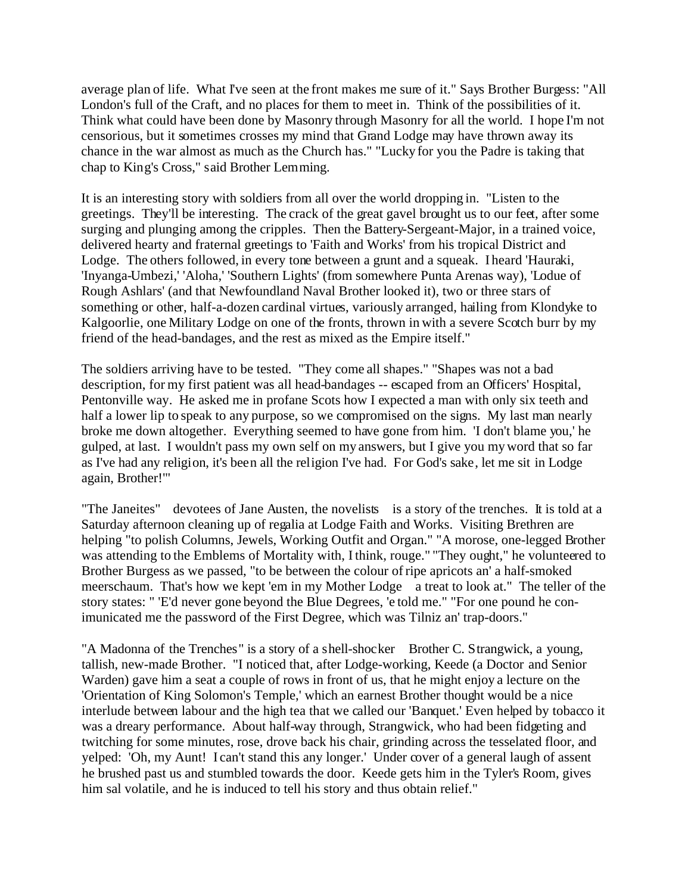average plan of life. What I've seen at the front makes me sure of it." Says Brother Burgess: "All London's full of the Craft, and no places for them to meet in. Think of the possibilities of it. Think what could have been done by Masonry through Masonry for all the world. I hope I'm not censorious, but it sometimes crosses my mind that Grand Lodge may have thrown away its chance in the war almost as much as the Church has." "Lucky for you the Padre is taking that chap to King's Cross," said Brother Lemming.

It is an interesting story with soldiers from all over the world dropping in. "Listen to the greetings. They'll be interesting. The crack of the great gavel brought us to our feet, after some surging and plunging among the cripples. Then the Battery-Sergeant-Major, in a trained voice, delivered hearty and fraternal greetings to 'Faith and Works' from his tropical District and Lodge. The others followed, in every tone between a grunt and a squeak. I heard 'Hauraki, 'Inyanga-Umbezi,' 'Aloha,' 'Southern Lights' (from somewhere Punta Arenas way), 'Lodue of Rough Ashlars' (and that Newfoundland Naval Brother looked it), two or three stars of something or other, half-a-dozen cardinal virtues, variously arranged, hailing from Klondyke to Kalgoorlie, one Military Lodge on one of the fronts, thrown in with a severe Scotch burr by my friend of the head-bandages, and the rest as mixed as the Empire itself."

The soldiers arriving have to be tested. "They come all shapes." "Shapes was not a bad description, for my first patient was all head-bandages -- escaped from an Officers' Hospital, Pentonville way. He asked me in profane Scots how I expected a man with only six teeth and half a lower lip to speak to any purpose, so we compromised on the signs. My last man nearly broke me down altogether. Everything seemed to have gone from him. 'I don't blame you,' he gulped, at last. I wouldn't pass my own self on my answers, but I give you my word that so far as I've had any religion, it's been all the religion I've had. For God's sake, let me sit in Lodge again, Brother!"'

"The Janeites" devotees of Jane Austen, the novelists is a story of the trenches. It is told at a Saturday afternoon cleaning up of regalia at Lodge Faith and Works. Visiting Brethren are helping "to polish Columns, Jewels, Working Outfit and Organ." "A morose, one-legged Brother was attending to the Emblems of Mortality with, I think, rouge." "They ought," he volunteered to Brother Burgess as we passed, "to be between the colour of ripe apricots an' a half-smoked meerschaum. That's how we kept 'em in my Mother Lodge a treat to look at." The teller of the story states: " 'E'd never gone beyond the Blue Degrees, 'e told me." "For one pound he conimunicated me the password of the First Degree, which was Tilniz an' trap-doors."

"A Madonna of the Trenches" is a story of a shell-shocker Brother C. Strangwick, a young, tallish, new-made Brother. "I noticed that, after Lodge-working, Keede (a Doctor and Senior Warden) gave him a seat a couple of rows in front of us, that he might enjoy a lecture on the 'Orientation of King Solomon's Temple,' which an earnest Brother thought would be a nice interlude between labour and the high tea that we called our 'Banquet.' Even helped by tobacco it was a dreary performance. About half-way through, Strangwick, who had been fidgeting and twitching for some minutes, rose, drove back his chair, grinding across the tesselated floor, and yelped: 'Oh, my Aunt! I can't stand this any longer.' Under cover of a general laugh of assent he brushed past us and stumbled towards the door. Keede gets him in the Tyler's Room, gives him sal volatile, and he is induced to tell his story and thus obtain relief."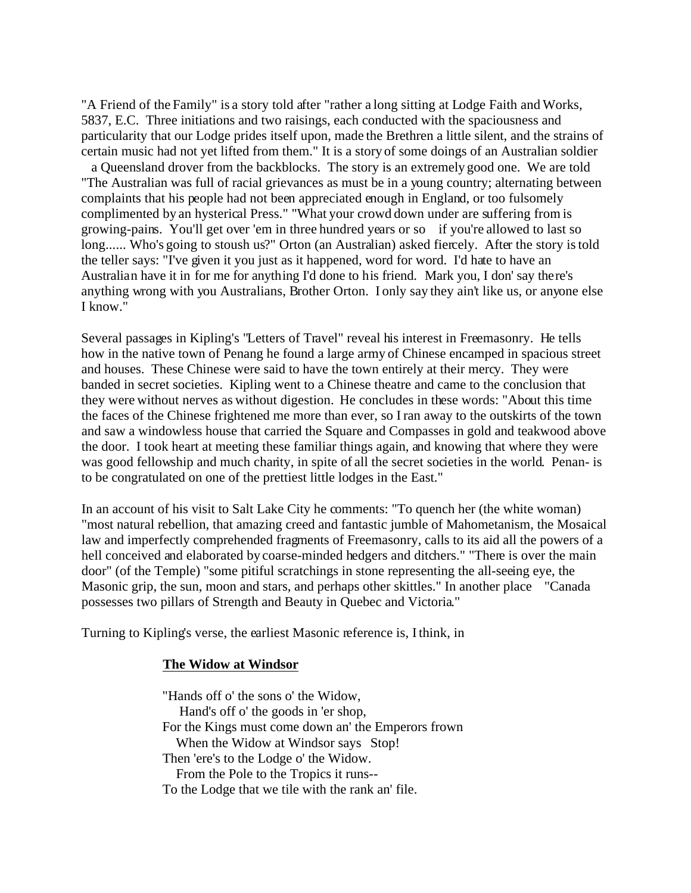"A Friend of the Family" is a story told after "rather a long sitting at Lodge Faith and Works, 5837, E.C. Three initiations and two raisings, each conducted with the spaciousness and particularity that our Lodge prides itself upon, made the Brethren a little silent, and the strains of certain music had not yet lifted from them." It is a story of some doings of an Australian soldier a Queensland drover from the backblocks. The story is an extremely good one. We are told "The Australian was full of racial grievances as must be in a young country; alternating between complaints that his people had not been appreciated enough in England, or too fulsomely complimented by an hysterical Press." "What your crowd down under are suffering from is growing-pains. You'll get over 'em in three hundred years or so if you're allowed to last so long...... Who's going to stoush us?" Orton (an Australian) asked fiercely. After the story is told the teller says: "I've given it you just as it happened, word for word. I'd hate to have an Australian have it in for me for anything I'd done to his friend. Mark you, I don' say there's anything wrong with you Australians, Brother Orton. I only say they ain't like us, or anyone else I know."

Several passages in Kipling's "Letters of Travel" reveal his interest in Freemasonry. He tells how in the native town of Penang he found a large army of Chinese encamped in spacious street and houses. These Chinese were said to have the town entirely at their mercy. They were banded in secret societies. Kipling went to a Chinese theatre and came to the conclusion that they were without nerves as without digestion. He concludes in these words: "About this time the faces of the Chinese frightened me more than ever, so I ran away to the outskirts of the town and saw a windowless house that carried the Square and Compasses in gold and teakwood above the door. I took heart at meeting these familiar things again, and knowing that where they were was good fellowship and much charity, in spite of all the secret societies in the world. Penan- is to be congratulated on one of the prettiest little lodges in the East."

In an account of his visit to Salt Lake City he comments: "To quench her (the white woman) "most natural rebellion, that amazing creed and fantastic jumble of Mahometanism, the Mosaical law and imperfectly comprehended fragments of Freemasonry, calls to its aid all the powers of a hell conceived and elaborated by coarse-minded hedgers and ditchers." "There is over the main door" (of the Temple) "some pitiful scratchings in stone representing the all-seeing eye, the Masonic grip, the sun, moon and stars, and perhaps other skittles." In another place "Canada possesses two pillars of Strength and Beauty in Quebec and Victoria."

Turning to Kipling's verse, the earliest Masonic reference is, I think, in

#### **The Widow at Windsor**

"Hands off o' the sons o' the Widow, Hand's off o' the goods in 'er shop, For the Kings must come down an' the Emperors frown When the Widow at Windsor says Stop! Then 'ere's to the Lodge o' the Widow. From the Pole to the Tropics it runs-- To the Lodge that we tile with the rank an' file.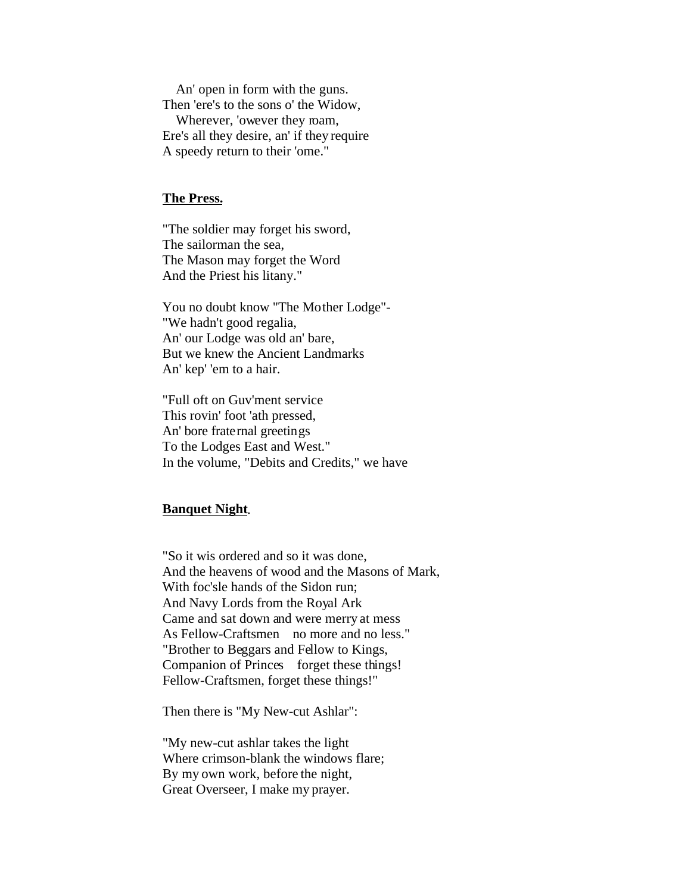An' open in form with the guns. Then 'ere's to the sons o' the Widow, Wherever, 'owever they roam, Ere's all they desire, an' if they require A speedy return to their 'ome."

#### **The Press.**

"The soldier may forget his sword, The sailorman the sea, The Mason may forget the Word And the Priest his litany."

You no doubt know "The Mother Lodge"- "We hadn't good regalia, An' our Lodge was old an' bare, But we knew the Ancient Landmarks An' kep' 'em to a hair.

"Full oft on Guv'ment service This rovin' foot 'ath pressed, An' bore fraternal greetings To the Lodges East and West." In the volume, "Debits and Credits," we have

#### **Banquet Night**.

"So it wis ordered and so it was done, And the heavens of wood and the Masons of Mark, With foc'sle hands of the Sidon run; And Navy Lords from the Royal Ark Came and sat down and were merry at mess As Fellow-Craftsmen no more and no less." "Brother to Beggars and Fellow to Kings, Companion of Princes forget these things! Fellow-Craftsmen, forget these things!"

Then there is "My New-cut Ashlar":

"My new-cut ashlar takes the light Where crimson-blank the windows flare; By my own work, before the night, Great Overseer, I make my prayer.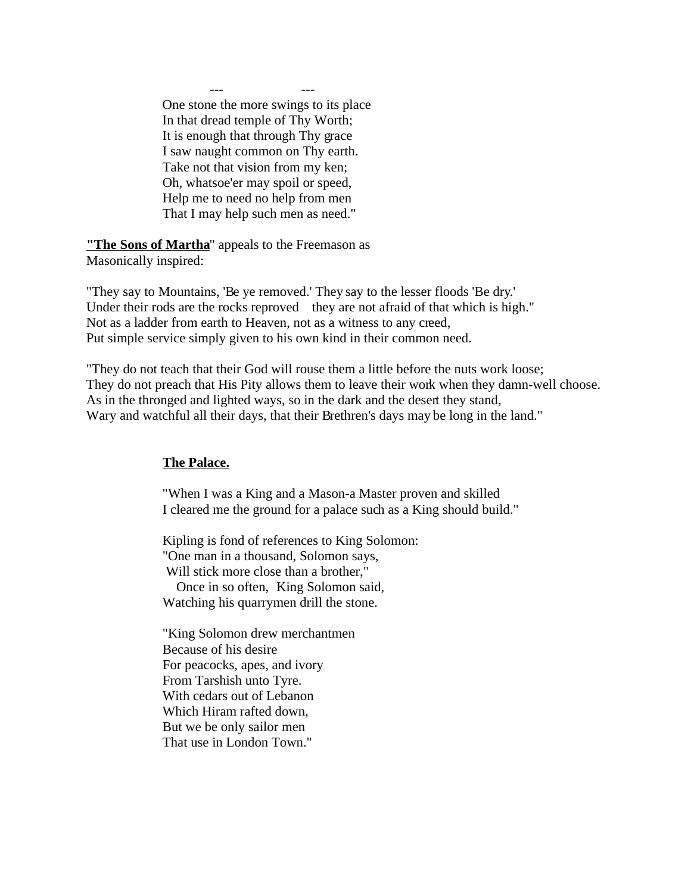--- --- One stone the more swings to its place In that dread temple of Thy Worth; It is enough that through Thy grace I saw naught common on Thy earth. Take not that vision from my ken; Oh, whatsoe'er may spoil or speed, Help me to need no help from men That I may help such men as need."

**"The Sons of Martha**" appeals to the Freemason as Masonically inspired:

"They say to Mountains, 'Be ye removed.' They say to the lesser floods 'Be dry.' Under their rods are the rocks reproved they are not afraid of that which is high." Not as a ladder from earth to Heaven, not as a witness to any creed, Put simple service simply given to his own kind in their common need.

"They do not teach that their God will rouse them a little before the nuts work loose; They do not preach that His Pity allows them to leave their work when they damn-well choose. As in the thronged and lighted ways, so in the dark and the desert they stand, Wary and watchful all their days, that their Brethren's days may be long in the land."

# **The Palace.**

"When I was a King and a Mason-a Master proven and skilled I cleared me the ground for a palace such as a King should build."

Kipling is fond of references to King Solomon: "One man in a thousand, Solomon says, Will stick more close than a brother," Once in so often, King Solomon said,

Watching his quarrymen drill the stone.

"King Solomon drew merchantmen Because of his desire For peacocks, apes, and ivory From Tarshish unto Tyre. With cedars out of Lebanon Which Hiram rafted down, But we be only sailor men That use in London Town."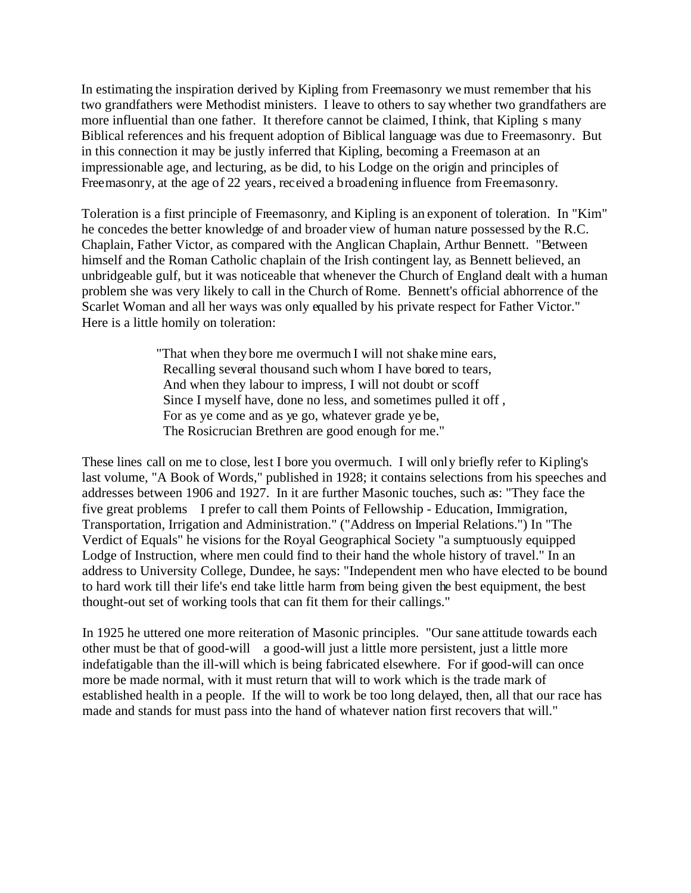In estimating the inspiration derived by Kipling from Freemasonry we must remember that his two grandfathers were Methodist ministers. I leave to others to say whether two grandfathers are more influential than one father. It therefore cannot be claimed, I think, that Kipling s many Biblical references and his frequent adoption of Biblical language was due to Freemasonry. But in this connection it may be justly inferred that Kipling, becoming a Freemason at an impressionable age, and lecturing, as be did, to his Lodge on the origin and principles of Freemasonry, at the age of 22 years, received a broadening influence from Freemasonry.

Toleration is a first principle of Freemasonry, and Kipling is an exponent of toleration. In "Kim" he concedes the better knowledge of and broader view of human nature possessed by the R.C. Chaplain, Father Victor, as compared with the Anglican Chaplain, Arthur Bennett. "Between himself and the Roman Catholic chaplain of the Irish contingent lay, as Bennett believed, an unbridgeable gulf, but it was noticeable that whenever the Church of England dealt with a human problem she was very likely to call in the Church of Rome. Bennett's official abhorrence of the Scarlet Woman and all her ways was only equalled by his private respect for Father Victor." Here is a little homily on toleration:

> "That when they bore me overmuch I will not shake mine ears, Recalling several thousand such whom I have bored to tears, And when they labour to impress, I will not doubt or scoff Since I myself have, done no less, and sometimes pulled it off , For as ye come and as ye go, whatever grade ye be, The Rosicrucian Brethren are good enough for me."

These lines call on me to close, lest I bore you overmuch. I will only briefly refer to Kipling's last volume, "A Book of Words," published in 1928; it contains selections from his speeches and addresses between 1906 and 1927. In it are further Masonic touches, such as: "They face the five great problems I prefer to call them Points of Fellowship - Education, Immigration, Transportation, Irrigation and Administration." ("Address on Imperial Relations.") In "The Verdict of Equals" he visions for the Royal Geographical Society "a sumptuously equipped Lodge of Instruction, where men could find to their hand the whole history of travel." In an address to University College, Dundee, he says: "Independent men who have elected to be bound to hard work till their life's end take little harm from being given the best equipment, the best thought-out set of working tools that can fit them for their callings."

In 1925 he uttered one more reiteration of Masonic principles. "Our sane attitude towards each other must be that of good-will a good-will just a little more persistent, just a little more indefatigable than the ill-will which is being fabricated elsewhere. For if good-will can once more be made normal, with it must return that will to work which is the trade mark of established health in a people. If the will to work be too long delayed, then, all that our race has made and stands for must pass into the hand of whatever nation first recovers that will."